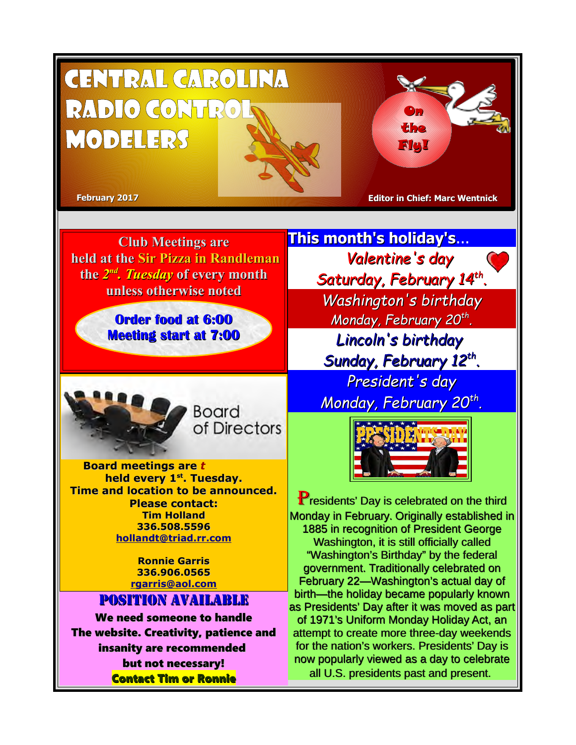

**Club Meetings are held at the Sir Pizza in Randleman the** *2 nd. Tuesday* **of every month unless otherwise noted**

> **Order food at 6:00 Meeting start at 7:00**



*e* **Board meetings are** *t y l e v i t a t n*  **held every 1st. Tuesday. Time and location to be announced. Please contact: Tim Holland 336.508.5596 [hollandt@triad.rr.com](mailto:hollandt@triad.rr.com)**

> **Ronnie Garris 336.906.0565 [rgarris@aol.com](mailto:rgarris@aol.com)**

## Position Available

We need someone to handle The website. Creativity, patience and insanity are recommended but not necessary! Contact Tim or Ronnie

**This month's holiday's**... *Valentine's day Saturday, February 14th . Washington's birthday Monday, February 20th . Lincoln's birthday Sunday, February 12th . President's day*

*Monday, February 20th .*



**P**residents' Day is celebrated on the third Monday in February. Originally established in 1885 in recognition of President George Washington, it is still officially called "Washington's Birthday" by the federal government. Traditionally celebrated on February 22—Washington's actual day of birth—the holiday became popularly known as Presidents' Day after it was moved as part of 1971's Uniform Monday Holiday Act, an attempt to create more three-day weekends for the nation's workers. Presidents' Day is now popularly viewed as a day to celebrate all U.S. presidents past and present.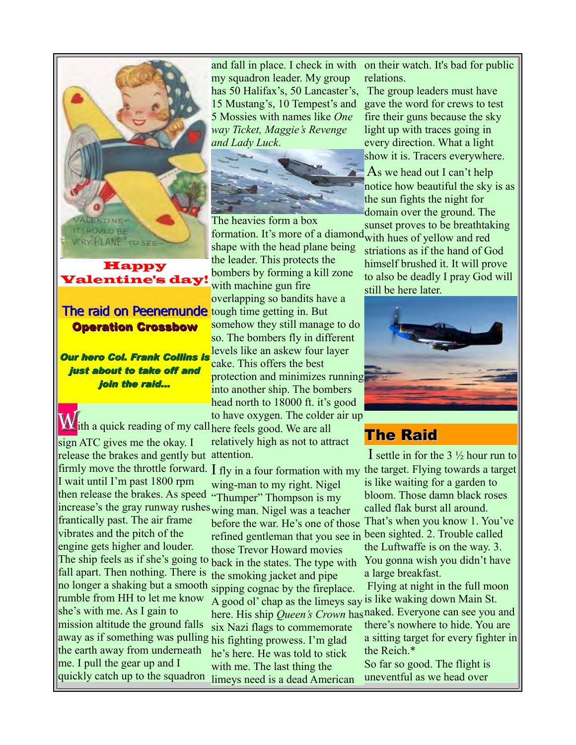

## Happy Valentine's day!

## The raid on Peenemunde Operation Crossbow

Our hero Col. Frank Collins is just about to take off and join the raid...

to have oxygen. The colder<br>M<sub>i</sub>th a quick reading of my call here feels good. We are all sign ATC gives me the okay. I release the brakes and gently but attention. I wait until I'm past 1800 rpm then release the brakes. As speed "Thumper" Thompson is my increase's the gray runway rushes wing man. Nigel was a teacher frantically past. The air frame vibrates and the pitch of the engine gets higher and louder. fall apart. Then nothing. There is no longer a shaking but a smooth rumble from HH to let me know she's with me. As I gain to mission altitude the ground falls away as if something was pulling his fighting prowess. I'm glad the earth away from underneath me. I pull the gear up and I quickly catch up to the squadron limeys need is a dead American

and fall in place. I check in with my squadron leader. My group has 50 Halifax's, 50 Lancaster's, 15 Mustang's, 10 Tempest's and 5 Mossies with names like *One way Ticket, Maggie's Revenge and Lady Luck*.



The heavies form a box formation. It's more of a diamond with hues of yellow and red shape with the head plane being the leader. This protects the bombers by forming a kill zone with machine gun fire overlapping so bandits have a tough time getting in. But somehow they still manage to do so. The bombers fly in different levels like an askew four layer cake. This offers the best protection and minimizes running into another ship. The bombers head north to 18000 ft. it's good to have oxygen. The colder air up

relatively high as not to attract

firmly move the throttle forward.  $I$  fly in a four formation with my the target. Flying towards a target The ship feels as if she's going to back in the states. The type with wing-man to my right. Nigel before the war. He's one of those That's when you know 1. You've refined gentleman that you see in been sighted. 2. Trouble called those Trevor Howard movies the smoking jacket and pipe sipping cognac by the fireplace. A good ol' chap as the limeys say is like waking down Main St. here. His ship *Queen's Crown* has naked. Everyone can see you and six Nazi flags to commemorate he's here. He was told to stick with me. The last thing the

on their watch. It's bad for public relations.

The group leaders must have gave the word for crews to test fire their guns because the sky light up with traces going in every direction. What a light show it is. Tracers everywhere.

As we head out I can't help notice how beautiful the sky is as the sun fights the night for domain over the ground. The sunset proves to be breathtaking

striations as if the hand of God himself brushed it. It will prove to also be deadly I pray God will still be here later.



# The Raid

I settle in for the 3 ½ hour run to is like waiting for a garden to bloom. Those damn black roses called flak burst all around. the Luftwaffe is on the way. 3. You gonna wish you didn't have a large breakfast.

Flying at night in the full moon

there's nowhere to hide. You are a sitting target for every fighter in the Reich.\*

So far so good. The flight is uneventful as we head over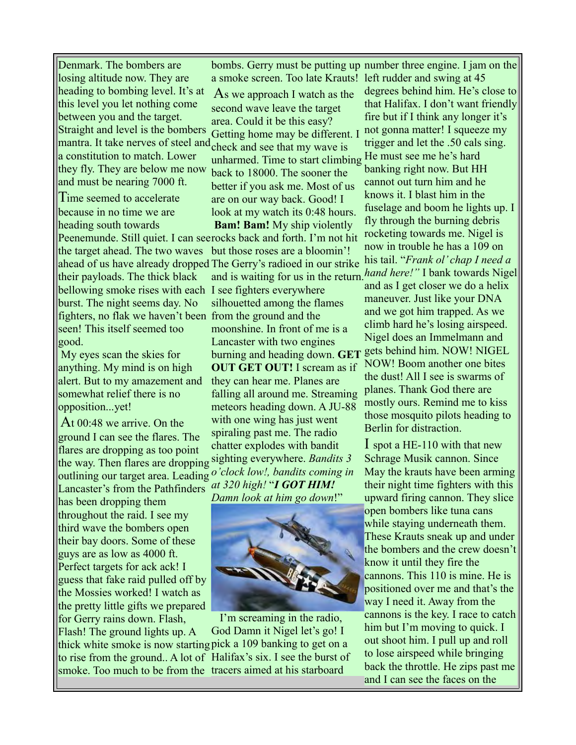Denmark. The bombers are losing altitude now. They are heading to bombing level. It's at this level you let nothing come between you and the target. Straight and level is the bombers mantra. It take nerves of steel and check and see that my wave is a constitution to match. Lower they fly. They are below me now and must be nearing 7000 ft.

Time seemed to accelerate because in no time we are heading south towards the target ahead. The two waves their payloads. The thick black bellowing smoke rises with each I see fighters everywhere burst. The night seems day. No fighters, no flak we haven't been from the ground and the seen! This itself seemed too good.

My eyes scan the skies for anything. My mind is on high alert. But to my amazement and somewhat relief there is no opposition...yet!

At 00:48 we arrive. On the ground I can see the flares. The flares are dropping as too point the way. Then flares are dropping sighting everywhere. *Bandits 3*  outlining our target area. Leading *o'clock low!, bandits coming in*  Lancaster's from the Pathfinders

has been dropping them throughout the raid. I see my third wave the bombers open their bay doors. Some of these guys are as low as 4000 ft. Perfect targets for ack ack! I guess that fake raid pulled off by the Mossies worked! I watch as the pretty little gifts we prepared for Gerry rains down. Flash,

Flash! The ground lights up. A

bombs. Gerry must be putting up number three engine. I jam on the a smoke screen. Too late Krauts! left rudder and swing at 45

As we approach I watch as the second wave leave the target area. Could it be this easy? Getting home may be different. I unharmed. Time to start climbing back to 18000. The sooner the better if you ask me. Most of us are on our way back. Good! I look at my watch its 0:48 hours.

Peenemunde. Still quiet. I can see rocks back and forth. I'm not hit ahead of us have already dropped The Gerry's radioed in our strike **Bam! Bam!** My ship violently but those roses are a bloomin'! silhouetted among the flames moonshine. In front of me is a Lancaster with two engines burning and heading down. **GET OUT GET OUT!** I scream as if they can hear me. Planes are falling all around me. Streaming meteors heading down. A JU-88 with one wing has just went spiraling past me. The radio chatter explodes with bandit *at 320 high!* "*I GOT HIM! Damn look at him go down*!"



thick white smoke is now starting pick a 109 banking to get on a to rise from the ground.. A lot of Halifax's six. I see the burst of smoke. Too much to be from the tracers aimed at his starboard I'm screaming in the radio, God Damn it Nigel let's go! I

and is waiting for us in the return. *hand here!"* I bank towards Nigel degrees behind him. He's close to that Halifax. I don't want friendly fire but if I think any longer it's not gonna matter! I squeeze my trigger and let the .50 cals sing. He must see me he's hard banking right now. But HH cannot out turn him and he knows it. I blast him in the fuselage and boom he lights up. I fly through the burning debris rocketing towards me. Nigel is now in trouble he has a 109 on his tail. "*Frank ol' chap I need a*  and as I get closer we do a helix maneuver. Just like your DNA and we got him trapped. As we climb hard he's losing airspeed. Nigel does an Immelmann and gets behind him. NOW! NIGEL NOW! Boom another one bites the dust! All I see is swarms of planes. Thank God there are mostly ours. Remind me to kiss those mosquito pilots heading to Berlin for distraction.

> I spot a HE-110 with that new Schrage Musik cannon. Since May the krauts have been arming their night time fighters with this upward firing cannon. They slice open bombers like tuna cans while staying underneath them. These Krauts sneak up and under the bombers and the crew doesn't know it until they fire the cannons. This 110 is mine. He is positioned over me and that's the way I need it. Away from the cannons is the key. I race to catch him but I'm moving to quick. I out shoot him. I pull up and roll to lose airspeed while bringing back the throttle. He zips past me and I can see the faces on the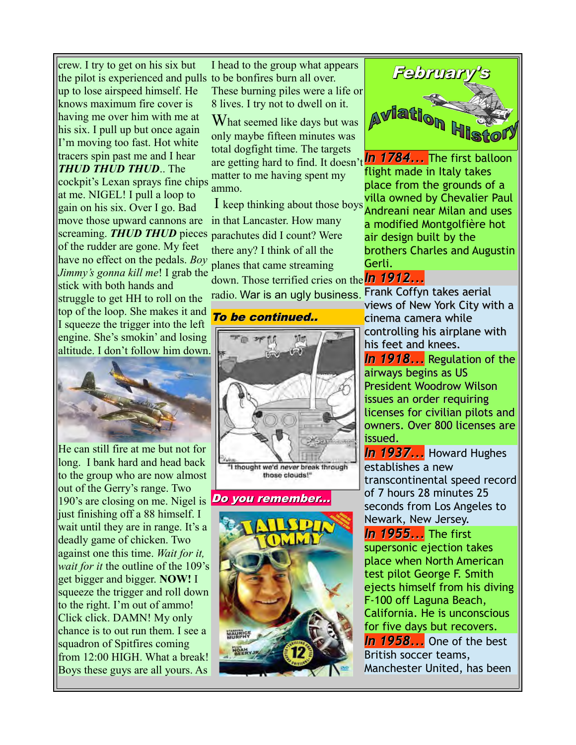crew. I try to get on his six but the pilot is experienced and pulls to be bonfires burn all over. up to lose airspeed himself. He knows maximum fire cover is having me over him with me at his six. I pull up but once again I'm moving too fast. Hot white tracers spin past me and I hear *THUD THUD THUD*.. The cockpit's Lexan sprays fine chips at me. NIGEL! I pull a loop to gain on his six. Over I go. Bad move those upward cannons are screaming. *THUD THUD* pieces parachutes did I count? Were of the rudder are gone. My feet have no effect on the pedals. *Boy Jimmy's gonna kill me*! I grab the stick with both hands and struggle to get HH to roll on the top of the loop. She makes it and I squeeze the trigger into the left engine. She's smokin' and losing altitude. I don't follow him down.



He can still fire at me but not for long. I bank hard and head back to the group who are now almost out of the Gerry's range. Two 190's are closing on me. Nigel is just finishing off a 88 himself. I wait until they are in range. It's a deadly game of chicken. Two against one this time. *Wait for it, wait for it* the outline of the 109's get bigger and bigger. **NOW!** I squeeze the trigger and roll down to the right. I'm out of ammo! Click click. DAMN! My only chance is to out run them. I see a squadron of Spitfires coming from 12:00 HIGH. What a break! Boys these guys are all yours. As

I head to the group what appears These burning piles were a life or 8 lives. I try not to dwell on it.

What seemed like days but was only maybe fifteen minutes was total dogfight time. The targets are getting hard to find. It doesn't *In 1784...* The first balloon matter to me having spent my ammo.

I keep thinking about those boys in that Lancaster. How many there any? I think of all the planes that came streaming

down. Those terrified cries on the *In 1912...* radio. War is an ugly business.

### To be continued..



those clouds!"

#### Do you remember...





flight made in Italy takes place from the grounds of a villa owned by Chevalier Paul Andreani near Milan and uses a modified Montgolfière hot air design built by the brothers Charles and Augustin Gerli.

Frank Coffyn takes aerial views of New York City with a cinema camera while controlling his airplane with his feet and knees.

*In 1918...* Regulation of the airways begins as US President Woodrow Wilson issues an order requiring licenses for civilian pilots and owners. Over 800 licenses are issued.

*In 1937...* Howard Hughes establishes a new transcontinental speed record of 7 hours 28 minutes 25 seconds from Los Angeles to Newark, New Jersey.

*In 1955...* The first supersonic ejection takes place when North American test pilot George F. Smith ejects himself from his diving F-100 off Laguna Beach, California. He is unconscious for five days but recovers. *In 1958...* One of the best British soccer teams, Manchester United, has been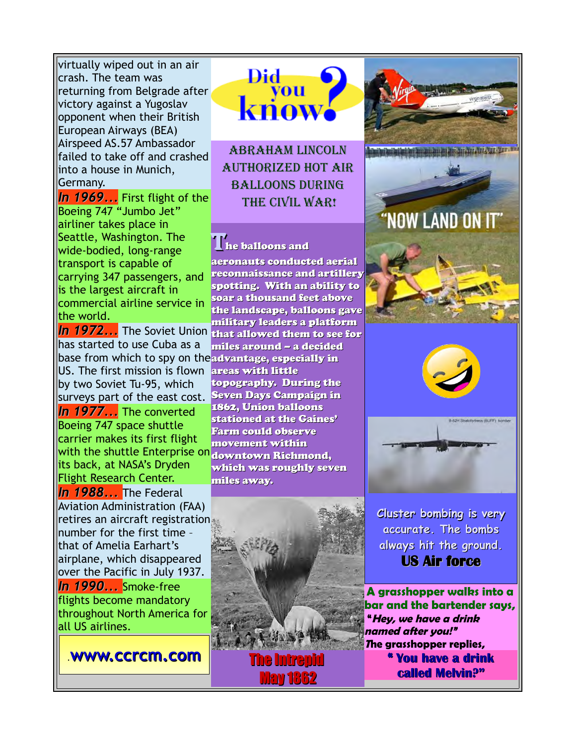virtually wiped out in an air crash. The team was returning from Belgrade after victory against a Yugoslav opponent when their British European Airways (BEA) Airspeed AS.57 Ambassador failed to take off and crashed into a house in Munich, Germany.

*In 1969...* First flight of the Boeing 747 "Jumbo Jet" airliner takes place in Seattle, Washington. The wide-bodied, long-range transport is capable of carrying 347 passengers, and is the largest aircraft in commercial airline service in the world.

In 1972... The Soviet Union that allowed them to see for has started to use Cuba as a base from which to spy on the advantage, especially in US. The first mission is flown areas with little by two Soviet Tu-95, which surveys part of the east cost. Seven Days Campaign in *In 1977...* The converted Boeing 747 space shuttle carrier makes its first flight with the shuttle Enterprise on downtown Richmond, its back, at NASA's Dryden Flight Research Center. *In 1988...* The Federal Aviation Administration (FAA) retires an aircraft registration number for the first time – that of Amelia Earhart's airplane, which disappeared over the Pacific in July 1937. *In 1990...* Smoke-free flights become mandatory

throughout North America for all US airlines.

.**[www.ccrcm.com](http://www.ccrcm.com/)**



Abraham Lincoln authorized hot air **BALLOONS DURING** THE CIVIL WAR!

# The balloons and

aeronauts conducted aerial reconnaissance and artillery spotting. With an ability to soar a thousand feet above the landscape, balloons gave military leaders a platform miles around – a decided topography. During the 1862, Union balloons stationed at the Gaines' Farm could observe movement within which was roughly seven miles away.



The Intrepid May 1862





**Cluster bombing is very accurate. The bombs always hit the ground. US Air force**

**A grasshopper walks into a bar and the bartender says, "Hey, we have a drink named after you!" <sup>T</sup>he grasshopper replies, " You have a drink called Melvin?"**